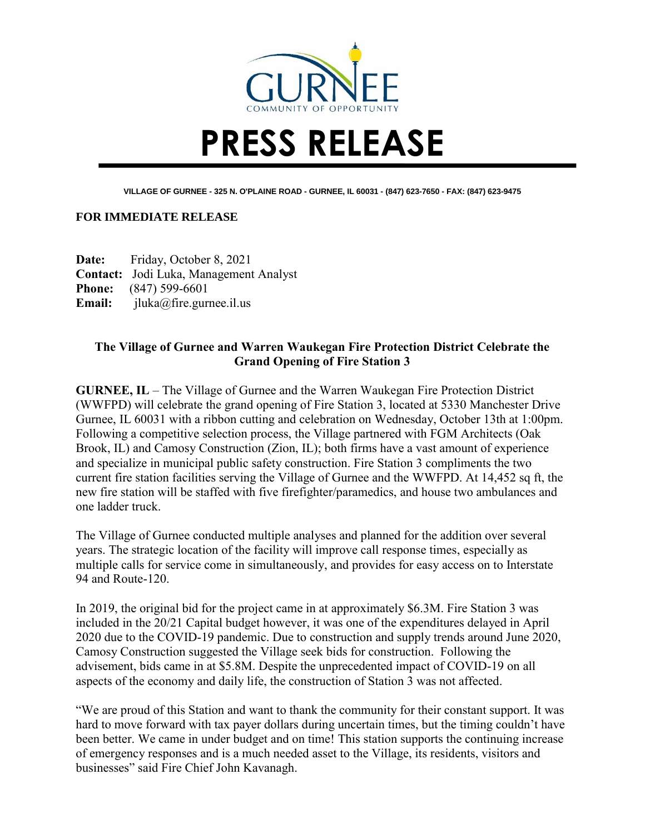

## **PRESS RELEASE**

**VILLAGE OF GURNEE - 325 N. O'PLAINE ROAD - GURNEE, IL 60031 - (847) 623-7650 - FAX: (847) 623-9475**

## **FOR IMMEDIATE RELEASE**

**Date:** Friday, October 8, 2021 **Contact:** Jodi Luka, Management Analyst **Phone:** (847) 599-6601 **Email:** jluka@fire.gurnee.il.us

## **The Village of Gurnee and Warren Waukegan Fire Protection District Celebrate the Grand Opening of Fire Station 3**

**GURNEE, IL** – The Village of Gurnee and the Warren Waukegan Fire Protection District (WWFPD) will celebrate the grand opening of Fire Station 3, located at 5330 Manchester Drive Gurnee, IL 60031 with a ribbon cutting and celebration on Wednesday, October 13th at 1:00pm. Following a competitive selection process, the Village partnered with FGM Architects (Oak Brook, IL) and Camosy Construction (Zion, IL); both firms have a vast amount of experience and specialize in municipal public safety construction. Fire Station 3 compliments the two current fire station facilities serving the Village of Gurnee and the WWFPD. At 14,452 sq ft, the new fire station will be staffed with five firefighter/paramedics, and house two ambulances and one ladder truck.

The Village of Gurnee conducted multiple analyses and planned for the addition over several years. The strategic location of the facility will improve call response times, especially as multiple calls for service come in simultaneously, and provides for easy access on to Interstate 94 and Route-120.

In 2019, the original bid for the project came in at approximately \$6.3M. Fire Station 3 was included in the 20/21 Capital budget however, it was one of the expenditures delayed in April 2020 due to the COVID-19 pandemic. Due to construction and supply trends around June 2020, Camosy Construction suggested the Village seek bids for construction. Following the advisement, bids came in at \$5.8M. Despite the unprecedented impact of COVID-19 on all aspects of the economy and daily life, the construction of Station 3 was not affected.

"We are proud of this Station and want to thank the community for their constant support. It was hard to move forward with tax payer dollars during uncertain times, but the timing couldn't have been better. We came in under budget and on time! This station supports the continuing increase of emergency responses and is a much needed asset to the Village, its residents, visitors and businesses" said Fire Chief John Kavanagh.